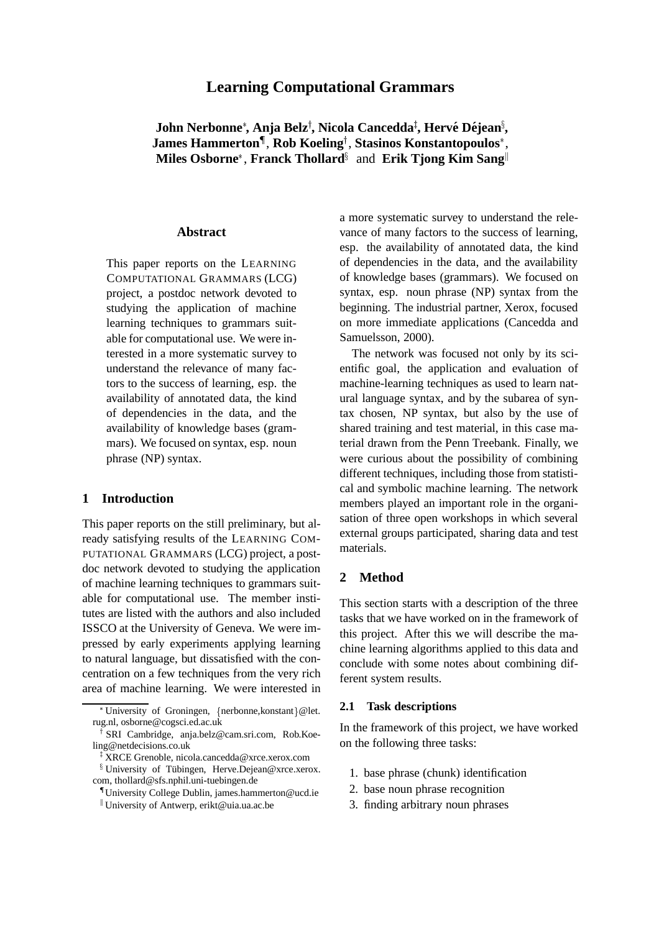# **Learning Computational Grammars**

John Nerbonne\*, Anja Belz<sup>†</sup>, Nicola Cancedda<sup>‡</sup>, Hervé Déjean<sup>§</sup>, James Hammerton<sup>¶</sup>, Rob Koeling<sup>†</sup>, Stasinos Konstantopoulos\*, **Miles Osborne\*, Franck Thollard<sup>§</sup> and Erik Tjong Kim Sang<sup>||</sup>** 

#### **Abstract**

This paper reports on the LEARNING COMPUTATIONAL GRAMMARS (LCG) project, a postdoc network devoted to studying the application of machine learning techniques to grammars suitable for computational use. We were interested in a more systematic survey to understand the relevance of many factors to the success of learning, esp. the availability of annotated data, the kind of dependencies in the data, and the availability of knowledge bases (grammars). We focused on syntax, esp. noun phrase (NP) syntax.

### **1 Introduction**

This paper reports on the still preliminary, but already satisfying results of the LEARNING COM-PUTATIONAL GRAMMARS (LCG) project, a postdoc network devoted to studying the application of machine learning techniques to grammars suitable for computational use. The member institutes are listed with the authors and also included ISSCO at the University of Geneva. We were impressed by early experiments applying learning to natural language, but dissatisfied with the concentration on a few techniques from the very rich area of machine learning. We were interested in a more systematic survey to understand the relevance of many factors to the success of learning, esp. the availability of annotated data, the kind of dependencies in the data, and the availability of knowledge bases (grammars). We focused on syntax, esp. noun phrase (NP) syntax from the beginning. The industrial partner, Xerox, focused on more immediate applications (Cancedda and Samuelsson, 2000).

The network was focused not only by its scientific goal, the application and evaluation of machine-learning techniques as used to learn natural language syntax, and by the subarea of syntax chosen, NP syntax, but also by the use of shared training and test material, in this case material drawn from the Penn Treebank. Finally, we were curious about the possibility of combining different techniques, including those from statistical and symbolic machine learning. The network members played an important role in the organisation of three open workshops in which several external groups participated, sharing data and test materials.

## **2 Method**

This section starts with a description of the three tasks that we have worked on in the framework of this project. After this we will describe the machine learning algorithms applied to this data and conclude with some notes about combining different system results.

#### **2.1 Task descriptions**

In the framework of this project, we have worked on the following three tasks:

- 1. base phrase (chunk) identification
- 2. base noun phrase recognition
- 3. finding arbitrary noun phrases

<sup>\*</sup>University of Groningen, {nerbonne,konstant}@let. rug.nl, osborne@cogsci.ed.ac.uk

<sup>&</sup>lt;sup>†</sup> SRI Cambridge, anja.belz@cam.sri.com, Rob.Koeling@netdecisions.co.uk

<sup>z</sup> XRCE Grenoble, nicola.cancedda@xrce.xerox.com

<sup>&</sup>lt;sup>§</sup> University of Tübingen, Herve.Dejean@xrce.xerox. com, thollard@sfs.nphil.uni-tuebingen.de

<sup>{</sup> University College Dublin, james.hammerton@ucd.ie <sup>k</sup> University of Antwerp, erikt@uia.ua.ac.be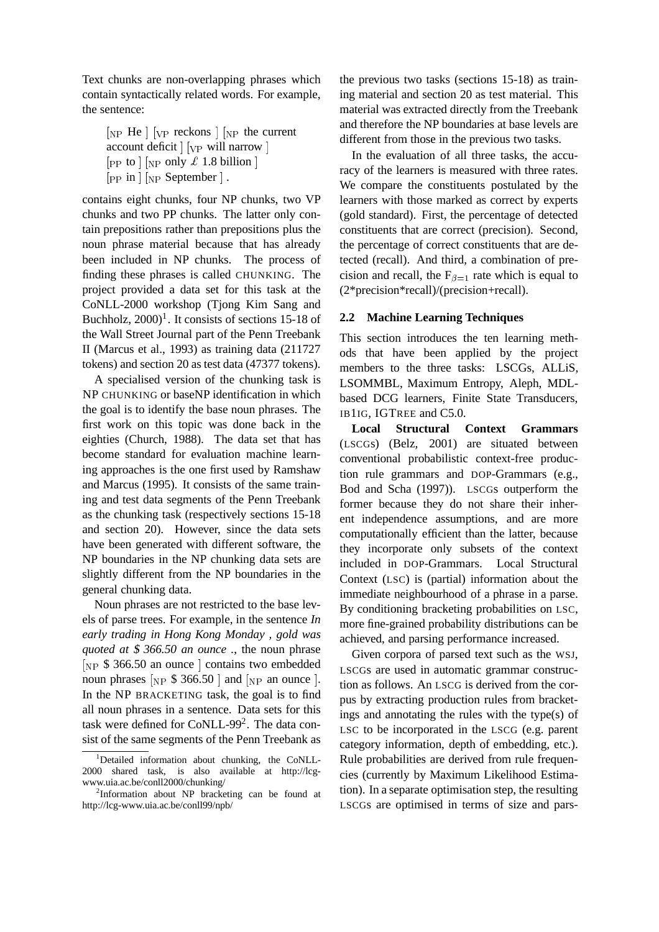Text chunks are non-overlapping phrases which contain syntactically related words. For example, the sentence:

 $\begin{bmatrix} N_P & He \end{bmatrix}$   $\begin{bmatrix} V_P & reckons \end{bmatrix}$   $\begin{bmatrix} N_P & the current \end{bmatrix}$ account deficit  $\vert$   $\vert_{VP}$  will narrow  $\vert$  $[pP]$  to  $|NP|$  only  $\pounds$  1.8 billion  $|$  $[pP]$  in  $]$   $[NP]$  September  $]$ .

contains eight chunks, four NP chunks, two VP chunks and two PP chunks. The latter only contain prepositions rather than prepositions plus the noun phrase material because that has already been included in NP chunks. The process of finding these phrases is called CHUNKING. The project provided a data set for this task at the CoNLL-2000 workshop (Tjong Kim Sang and Buchholz,  $2000$ <sup>1</sup>. It consists of sections 15-18 of the Wall Street Journal part of the Penn Treebank II (Marcus et al., 1993) as training data (211727 tokens) and section 20 as test data (47377 tokens).

A specialised version of the chunking task is NP CHUNKING or baseNP identification in which the goal is to identify the base noun phrases. The first work on this topic was done back in the eighties (Church, 1988). The data set that has become standard for evaluation machine learning approaches is the one first used by Ramshaw and Marcus (1995). It consists of the same training and test data segments of the Penn Treebank as the chunking task (respectively sections 15-18 and section 20). However, since the data sets have been generated with different software, the NP boundaries in the NP chunking data sets are slightly different from the NP boundaries in the general chunking data.

Noun phrases are not restricted to the base levels of parse trees. For example, in the sentence *In early trading in Hong Kong Monday , gold was quoted at* \$ *366.50 an ounce .*, the noun phrase  $N_P$  \$ 366.50 an ounce | contains two embedded noun phrases  $N_P$  \$ 366.50 | and  $N_P$  an ounce |. In the NP BRACKETING task, the goal is to find all noun phrases in a sentence. Data sets for this task were defined for CoNLL-99<sup>2</sup>. The data consist of the same segments of the Penn Treebank as

the previous two tasks (sections 15-18) as training material and section 20 as test material. This material was extracted directly from the Treebank and therefore the NP boundaries at base levels are different from those in the previous two tasks.

In the evaluation of all three tasks, the accuracy of the learners is measured with three rates. We compare the constituents postulated by the learners with those marked as correct by experts (gold standard). First, the percentage of detected constituents that are correct (precision). Second, the percentage of correct constituents that are detected (recall). And third, a combination of precision and recall, the  $F_{\beta=1}$  rate which is equal to (2\*precision\*recall)/(precision+recall).

## **2.2 Machine Learning Techniques**

This section introduces the ten learning methods that have been applied by the project members to the three tasks: LSCGs, ALLiS, LSOMMBL, Maximum Entropy, Aleph, MDLbased DCG learners, Finite State Transducers, IB1IG, IGTREE and C5.0.

**Local Structural Context Grammars** (LSCGs) (Belz, 2001) are situated between conventional probabilistic context-free production rule grammars and DOP-Grammars (e.g., Bod and Scha (1997)). LSCGs outperform the former because they do not share their inherent independence assumptions, and are more computationally efficient than the latter, because they incorporate only subsets of the context included in DOP-Grammars. Local Structural Context (LSC) is (partial) information about the immediate neighbourhood of a phrase in a parse. By conditioning bracketing probabilities on LSC, more fine-grained probability distributions can be achieved, and parsing performance increased.

Given corpora of parsed text such as the WSJ, LSCGs are used in automatic grammar construction as follows. An LSCG is derived from the corpus by extracting production rules from bracketings and annotating the rules with the type(s) of LSC to be incorporated in the LSCG (e.g. parent category information, depth of embedding, etc.). Rule probabilities are derived from rule frequencies (currently by Maximum Likelihood Estimation). In a separate optimisation step, the resulting LSCGs are optimised in terms of size and pars-

<sup>&</sup>lt;sup>1</sup>Detailed information about chunking, the CoNLL-2000 shared task, is also available at http://lcgwww.uia.ac.be/conll2000/chunking/

<sup>&</sup>lt;sup>2</sup>Information about NP bracketing can be found at http://lcg-www.uia.ac.be/conll99/npb/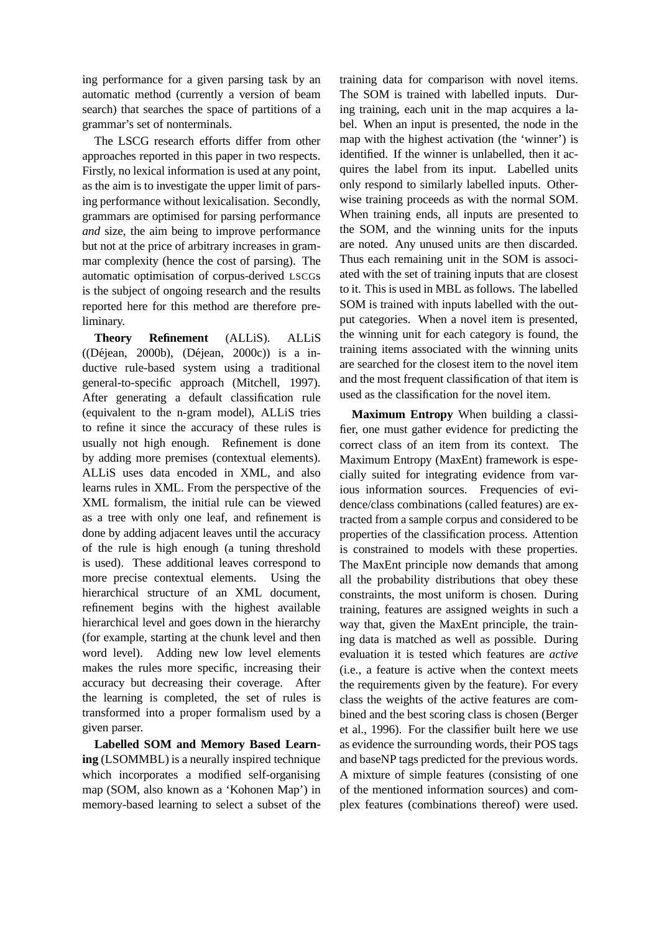ing performance for a given parsing task by an automatic method (currently a version of beam search) that searches the space of partitions of a grammar's set of nonterminals.

The LSCG research efforts differ from other approaches reported in this paper in two respects. Firstly, no lexical information is used at any point, as the aim is to investigate the upper limit of parsing performance without lexicalisation. Secondly, grammars are optimised for parsing performance *and* size, the aim being to improve performance but not at the price of arbitrary increases in grammar complexity (hence the cost of parsing). The automatic optimisation of corpus-derived LSCGs is the subject of ongoing research and the results reported here for this method are therefore preliminary.

**Theory Refinement** (ALLiS). ALLiS  $((Déjean, 2000b), (Déjean, 2000c))$  is a inductive rule-based system using a traditional general-to-specific approach (Mitchell, 1997). After generating a default classification rule (equivalent to the n-gram model), ALLiS tries to refine it since the accuracy of these rules is usually not high enough. Refinement is done by adding more premises (contextual elements). ALLiS uses data encoded in XML, and also learns rules in XML. From the perspective of the XML formalism, the initial rule can be viewed as a tree with only one leaf, and refinement is done by adding adjacent leaves until the accuracy of the rule is high enough (a tuning threshold is used). These additional leaves correspond to more precise contextual elements. Using the hierarchical structure of an XML document, refinement begins with the highest available hierarchical level and goes down in the hierarchy (for example, starting at the chunk level and then word level). Adding new low level elements makes the rules more specific, increasing their accuracy but decreasing their coverage. After the learning is completed, the set of rules is transformed into a proper formalism used by a given parser.

**Labelled SOM and Memory Based Learning** (LSOMMBL) is a neurally inspired technique which incorporates a modified self-organising map (SOM, also known as a 'Kohonen Map') in memory-based learning to select a subset of the

training data for comparison with novel items. The SOM is trained with labelled inputs. During training, each unit in the map acquires a label. When an input is presented, the node in the map with the highest activation (the 'winner') is identified. If the winner is unlabelled, then it acquires the label from its input. Labelled units only respond to similarly labelled inputs. Otherwise training proceeds as with the normal SOM. When training ends, all inputs are presented to the SOM, and the winning units for the inputs are noted. Any unused units are then discarded. Thus each remaining unit in the SOM is associated with the set of training inputs that are closest to it. This is used in MBL as follows. The labelled SOM is trained with inputs labelled with the output categories. When a novel item is presented, the winning unit for each category is found, the training items associated with the winning units are searched for the closest item to the novel item and the most frequent classification of that item is used as the classification for the novel item.

**Maximum Entropy** When building a classifier, one must gather evidence for predicting the correct class of an item from its context. The Maximum Entropy (MaxEnt) framework is especially suited for integrating evidence from various information sources. Frequencies of evidence/class combinations (called features) are extracted from a sample corpus and considered to be properties of the classification process. Attention is constrained to models with these properties. The MaxEnt principle now demands that among all the probability distributions that obey these constraints, the most uniform is chosen. During training, features are assigned weights in such a way that, given the MaxEnt principle, the training data is matched as well as possible. During evaluation it is tested which features are *active* (i.e., a feature is active when the context meets the requirements given by the feature). For every class the weights of the active features are combined and the best scoring class is chosen (Berger et al., 1996). For the classifier built here we use as evidence the surrounding words, their POS tags and baseNP tags predicted for the previous words. A mixture of simple features (consisting of one of the mentioned information sources) and complex features (combinations thereof) were used.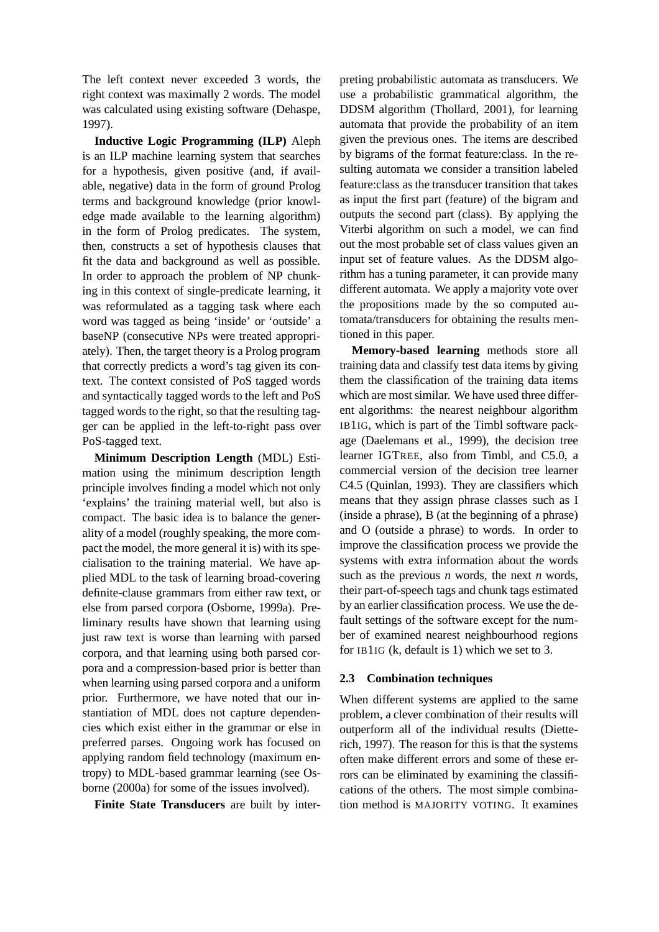The left context never exceeded 3 words, the right context was maximally 2 words. The model was calculated using existing software (Dehaspe, 1997).

**Inductive Logic Programming (ILP)** Aleph is an ILP machine learning system that searches for a hypothesis, given positive (and, if available, negative) data in the form of ground Prolog terms and background knowledge (prior knowledge made available to the learning algorithm) in the form of Prolog predicates. The system, then, constructs a set of hypothesis clauses that fit the data and background as well as possible. In order to approach the problem of NP chunking in this context of single-predicate learning, it was reformulated as a tagging task where each word was tagged as being 'inside' or 'outside' a baseNP (consecutive NPs were treated appropriately). Then, the target theory is a Prolog program that correctly predicts a word's tag given its context. The context consisted of PoS tagged words and syntactically tagged words to the left and PoS tagged words to the right, so that the resulting tagger can be applied in the left-to-right pass over PoS-tagged text.

**Minimum Description Length** (MDL) Estimation using the minimum description length principle involves finding a model which not only 'explains' the training material well, but also is compact. The basic idea is to balance the generality of a model (roughly speaking, the more compact the model, the more general it is) with its specialisation to the training material. We have applied MDL to the task of learning broad-covering definite-clause grammars from either raw text, or else from parsed corpora (Osborne, 1999a). Preliminary results have shown that learning using just raw text is worse than learning with parsed corpora, and that learning using both parsed corpora and a compression-based prior is better than when learning using parsed corpora and a uniform prior. Furthermore, we have noted that our instantiation of MDL does not capture dependencies which exist either in the grammar or else in preferred parses. Ongoing work has focused on applying random field technology (maximum entropy) to MDL-based grammar learning (see Osborne (2000a) for some of the issues involved).

**Finite State Transducers** are built by inter-

preting probabilistic automata as transducers. We use a probabilistic grammatical algorithm, the DDSM algorithm (Thollard, 2001), for learning automata that provide the probability of an item given the previous ones. The items are described by bigrams of the format feature:class. In the resulting automata we consider a transition labeled feature:class as the transducer transition that takes as input the first part (feature) of the bigram and outputs the second part (class). By applying the Viterbi algorithm on such a model, we can find out the most probable set of class values given an input set of feature values. As the DDSM algorithm has a tuning parameter, it can provide many different automata. We apply a majority vote over the propositions made by the so computed automata/transducers for obtaining the results mentioned in this paper.

**Memory-based learning** methods store all training data and classify test data items by giving them the classification of the training data items which are most similar. We have used three different algorithms: the nearest neighbour algorithm IB1IG, which is part of the Timbl software package (Daelemans et al., 1999), the decision tree learner IGTREE, also from Timbl, and C5.0, a commercial version of the decision tree learner C4.5 (Quinlan, 1993). They are classifiers which means that they assign phrase classes such as I (inside a phrase), B (at the beginning of a phrase) and O (outside a phrase) to words. In order to improve the classification process we provide the systems with extra information about the words such as the previous *n* words, the next *n* words, their part-of-speech tags and chunk tags estimated by an earlier classification process. We use the default settings of the software except for the number of examined nearest neighbourhood regions for IB1IG (k, default is 1) which we set to 3.

## **2.3 Combination techniques**

When different systems are applied to the same problem, a clever combination of their results will outperform all of the individual results (Dietterich, 1997). The reason for this is that the systems often make different errors and some of these errors can be eliminated by examining the classifications of the others. The most simple combination method is MAJORITY VOTING. It examines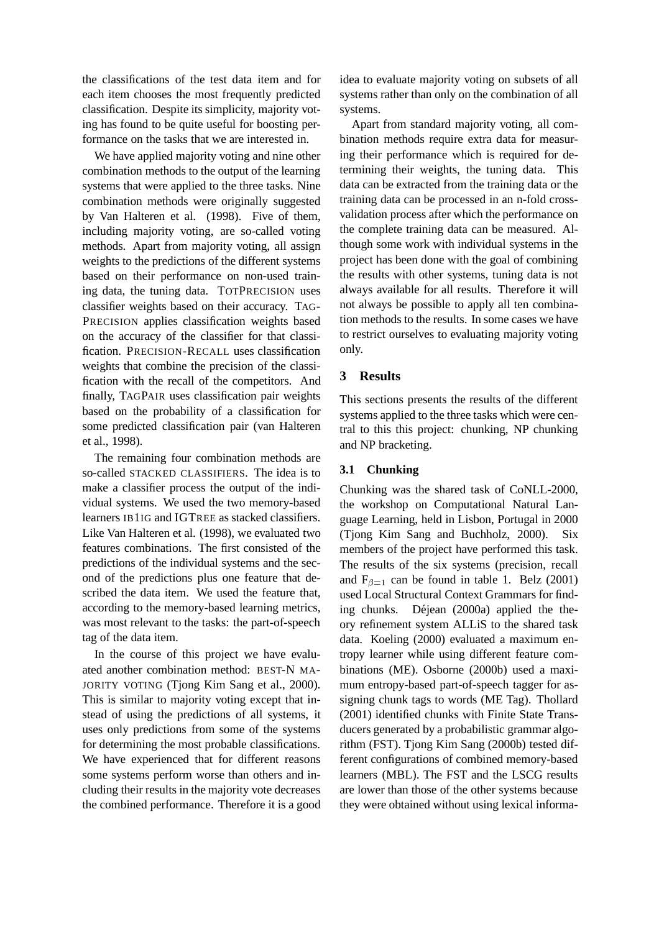the classifications of the test data item and for each item chooses the most frequently predicted classification. Despite its simplicity, majority voting has found to be quite useful for boosting performance on the tasks that we are interested in.

We have applied majority voting and nine other combination methods to the output of the learning systems that were applied to the three tasks. Nine combination methods were originally suggested by Van Halteren et al. (1998). Five of them, including majority voting, are so-called voting methods. Apart from majority voting, all assign weights to the predictions of the different systems based on their performance on non-used training data, the tuning data. TOTPRECISION uses classifier weights based on their accuracy. TAG-PRECISION applies classification weights based on the accuracy of the classifier for that classification. PRECISION-RECALL uses classification weights that combine the precision of the classification with the recall of the competitors. And finally, TAGPAIR uses classification pair weights based on the probability of a classification for some predicted classification pair (van Halteren et al., 1998).

The remaining four combination methods are so-called STACKED CLASSIFIERS. The idea is to make a classifier process the output of the individual systems. We used the two memory-based learners IB1IG and IGTREE as stacked classifiers. Like Van Halteren et al. (1998), we evaluated two features combinations. The first consisted of the predictions of the individual systems and the second of the predictions plus one feature that described the data item. We used the feature that, according to the memory-based learning metrics, was most relevant to the tasks: the part-of-speech tag of the data item.

In the course of this project we have evaluated another combination method: BEST-N MA-JORITY VOTING (Tjong Kim Sang et al., 2000). This is similar to majority voting except that instead of using the predictions of all systems, it uses only predictions from some of the systems for determining the most probable classifications. We have experienced that for different reasons some systems perform worse than others and including their results in the majority vote decreases the combined performance. Therefore it is a good idea to evaluate majority voting on subsets of all systems rather than only on the combination of all systems.

Apart from standard majority voting, all combination methods require extra data for measuring their performance which is required for determining their weights, the tuning data. This data can be extracted from the training data or the training data can be processed in an n-fold crossvalidation process after which the performance on the complete training data can be measured. Although some work with individual systems in the project has been done with the goal of combining the results with other systems, tuning data is not always available for all results. Therefore it will not always be possible to apply all ten combination methods to the results. In some cases we have to restrict ourselves to evaluating majority voting only.

## **3 Results**

This sections presents the results of the different systems applied to the three tasks which were central to this this project: chunking, NP chunking and NP bracketing.

## **3.1 Chunking**

Chunking was the shared task of CoNLL-2000, the workshop on Computational Natural Language Learning, held in Lisbon, Portugal in 2000 (Tjong Kim Sang and Buchholz, 2000). Six members of the project have performed this task. The results of the six systems (precision, recall and  $F_{\beta=1}$  can be found in table 1. Belz (2001) used Local Structural Context Grammars for finding chunks. Déjean (2000a) applied the theory refinement system ALLiS to the shared task data. Koeling (2000) evaluated a maximum entropy learner while using different feature combinations (ME). Osborne (2000b) used a maximum entropy-based part-of-speech tagger for assigning chunk tags to words (ME Tag). Thollard (2001) identified chunks with Finite State Transducers generated by a probabilistic grammar algorithm (FST). Tjong Kim Sang (2000b) tested different configurations of combined memory-based learners (MBL). The FST and the LSCG results are lower than those of the other systems because they were obtained without using lexical informa-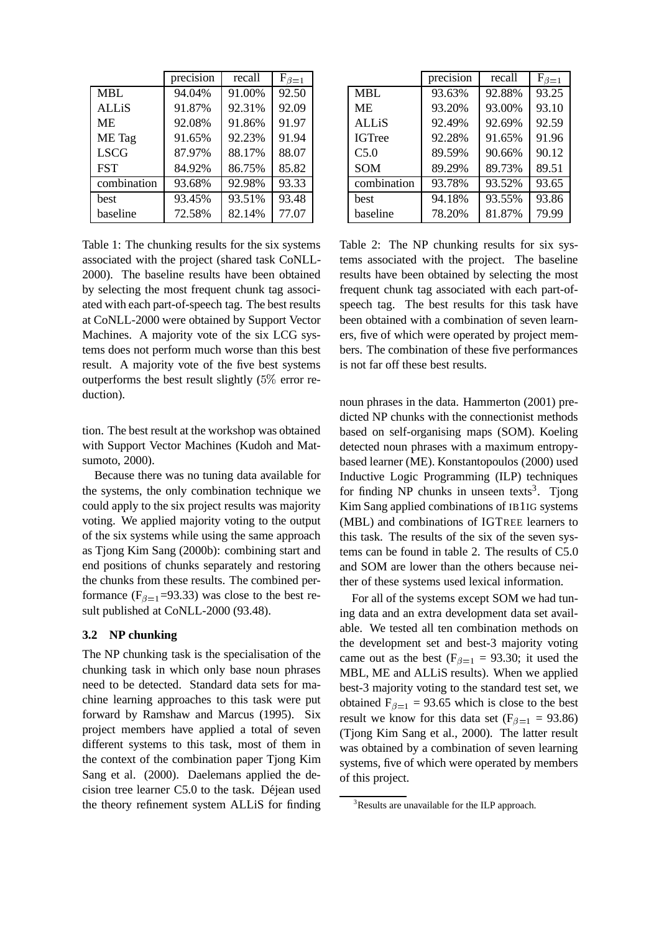|              | precision | recall | $F_{\beta=1}$ |
|--------------|-----------|--------|---------------|
| <b>MBL</b>   | 94.04%    | 91.00% | 92.50         |
| <b>ALLiS</b> | 91.87%    | 92.31% | 92.09         |
| MЕ           | 92.08%    | 91.86% | 91.97         |
| ME Tag       | 91.65%    | 92.23% | 91.94         |
| <b>LSCG</b>  | 87.97%    | 88.17% | 88.07         |
| <b>FST</b>   | 84.92%    | 86.75% | 85.82         |
| combination  | 93.68%    | 92.98% | 93.33         |
| best         | 93.45%    | 93.51% | 93.48         |
| baseline     | 72.58%    | 82.14% | 77.07         |

Table 1: The chunking results for the six systems associated with the project (shared task CoNLL-2000). The baseline results have been obtained by selecting the most frequent chunk tag associated with each part-of-speech tag. The best results at CoNLL-2000 were obtained by Support Vector Machines. A majority vote of the six LCG systems does not perform much worse than this best result. A majority vote of the five best systems outperforms the best result slightly (5% error reduction).

tion. The best result at the workshop was obtained with Support Vector Machines (Kudoh and Matsumoto, 2000).

Because there was no tuning data available for the systems, the only combination technique we could apply to the six project results was majority voting. We applied majority voting to the output of the six systems while using the same approach as Tjong Kim Sang (2000b): combining start and end positions of chunks separately and restoring the chunks from these results. The combined performance ( $F_{\beta=1}$ =93.33) was close to the best result published at CoNLL-2000 (93.48).

### **3.2 NP chunking**

The NP chunking task is the specialisation of the chunking task in which only base noun phrases need to be detected. Standard data sets for machine learning approaches to this task were put forward by Ramshaw and Marcus (1995). Six project members have applied a total of seven different systems to this task, most of them in the context of the combination paper Tjong Kim Sang et al. (2000). Daelemans applied the decision tree learner C5.0 to the task. Déjean used the theory refinement system ALLiS for finding

|               | precision | recall | $F_{\beta=1}$ |
|---------------|-----------|--------|---------------|
| MBL           | 93.63%    | 92.88% | 93.25         |
| МE            | 93.20%    | 93.00% | 93.10         |
| <b>ALLiS</b>  | 92.49%    | 92.69% | 92.59         |
| <b>IGTree</b> | 92.28%    | 91.65% | 91.96         |
| C5.0          | 89.59%    | 90.66% | 90.12         |
| <b>SOM</b>    | 89.29%    | 89.73% | 89.51         |
| combination   | 93.78%    | 93.52% | 93.65         |
| best          | 94.18%    | 93.55% | 93.86         |
| baseline      | 78.20%    | 81.87% | 79.99         |

Table 2: The NP chunking results for six systems associated with the project. The baseline results have been obtained by selecting the most frequent chunk tag associated with each part-ofspeech tag. The best results for this task have been obtained with a combination of seven learners, five of which were operated by project members. The combination of these five performances is not far off these best results.

noun phrases in the data. Hammerton (2001) predicted NP chunks with the connectionist methods based on self-organising maps (SOM). Koeling detected noun phrases with a maximum entropybased learner (ME). Konstantopoulos (2000) used Inductive Logic Programming (ILP) techniques for finding NP chunks in unseen texts<sup>3</sup>. Tjong Kim Sang applied combinations of IB1IG systems (MBL) and combinations of IGTREE learners to this task. The results of the six of the seven systems can be found in table 2. The results of C5.0 and SOM are lower than the others because neither of these systems used lexical information.

For all of the systems except SOM we had tuning data and an extra development data set available. We tested all ten combination methods on the development set and best-3 majority voting came out as the best ( $F_{\beta=1}$  = 93.30; it used the MBL, ME and ALLiS results). When we applied best-3 majority voting to the standard test set, we obtained  $F_{\beta=1}$  = 93.65 which is close to the best result we know for this data set ( $F_{\beta=1}$  = 93.86) (Tjong Kim Sang et al., 2000). The latter result was obtained by a combination of seven learning systems, five of which were operated by members of this project.

<sup>&</sup>lt;sup>3</sup>Results are unavailable for the ILP approach.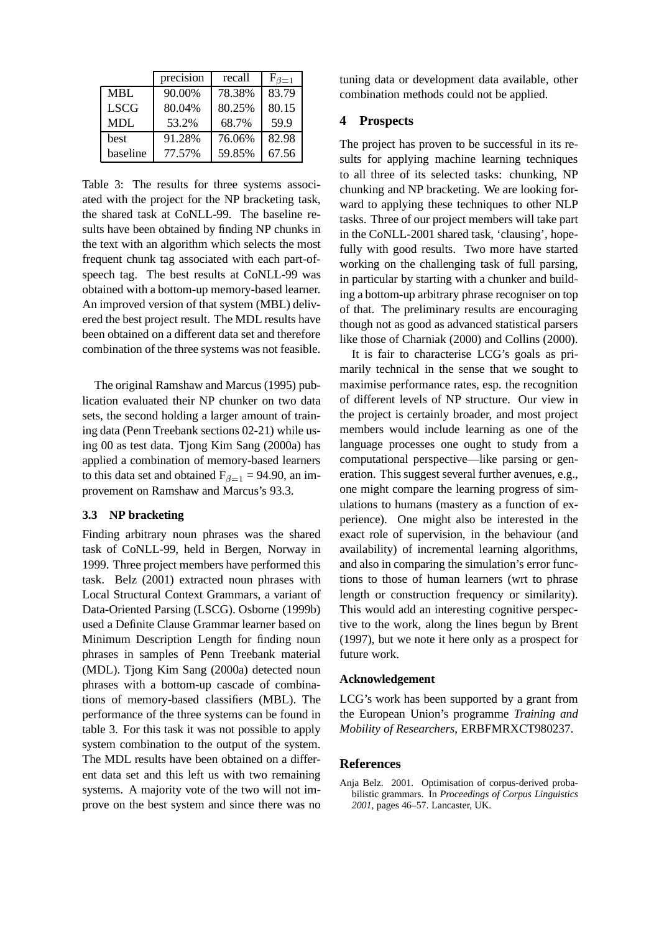|             | precision | recall | $\mathrm{F}_{\beta=1}$ |
|-------------|-----------|--------|------------------------|
| <b>MBL</b>  | 90.00%    | 78.38% | 83.79                  |
| <b>LSCG</b> | 80.04%    | 80.25% | 80.15                  |
| <b>MDL</b>  | 53.2%     | 68.7%  | 59.9                   |
| best        | 91.28%    | 76.06% | 82.98                  |
| baseline    | 77.57%    | 59.85% | 67.56                  |

Table 3: The results for three systems associated with the project for the NP bracketing task, the shared task at CoNLL-99. The baseline results have been obtained by finding NP chunks in the text with an algorithm which selects the most frequent chunk tag associated with each part-ofspeech tag. The best results at CoNLL-99 was obtained with a bottom-up memory-based learner. An improved version of that system (MBL) delivered the best project result. The MDL results have been obtained on a different data set and therefore combination of the three systems was not feasible.

The original Ramshaw and Marcus (1995) publication evaluated their NP chunker on two data sets, the second holding a larger amount of training data (Penn Treebank sections 02-21) while using 00 as test data. Tjong Kim Sang (2000a) has applied a combination of memory-based learners to this data set and obtained  $F_{\beta=1} = 94.90$ , an improvement on Ramshaw and Marcus's 93.3.

### **3.3 NP bracketing**

Finding arbitrary noun phrases was the shared task of CoNLL-99, held in Bergen, Norway in 1999. Three project members have performed this task. Belz (2001) extracted noun phrases with Local Structural Context Grammars, a variant of Data-Oriented Parsing (LSCG). Osborne (1999b) used a Definite Clause Grammar learner based on Minimum Description Length for finding noun phrases in samples of Penn Treebank material (MDL). Tjong Kim Sang (2000a) detected noun phrases with a bottom-up cascade of combinations of memory-based classifiers (MBL). The performance of the three systems can be found in table 3. For this task it was not possible to apply system combination to the output of the system. The MDL results have been obtained on a different data set and this left us with two remaining systems. A majority vote of the two will not improve on the best system and since there was no

tuning data or development data available, other combination methods could not be applied.

### **4 Prospects**

The project has proven to be successful in its results for applying machine learning techniques to all three of its selected tasks: chunking, NP chunking and NP bracketing. We are looking forward to applying these techniques to other NLP tasks. Three of our project members will take part in the CoNLL-2001 shared task, 'clausing', hopefully with good results. Two more have started working on the challenging task of full parsing, in particular by starting with a chunker and building a bottom-up arbitrary phrase recogniser on top of that. The preliminary results are encouraging though not as good as advanced statistical parsers like those of Charniak (2000) and Collins (2000).

It is fair to characterise LCG's goals as primarily technical in the sense that we sought to maximise performance rates, esp. the recognition of different levels of NP structure. Our view in the project is certainly broader, and most project members would include learning as one of the language processes one ought to study from a computational perspective—like parsing or generation. This suggest several further avenues, e.g., one might compare the learning progress of simulations to humans (mastery as a function of experience). One might also be interested in the exact role of supervision, in the behaviour (and availability) of incremental learning algorithms, and also in comparing the simulation's error functions to those of human learners (wrt to phrase length or construction frequency or similarity). This would add an interesting cognitive perspective to the work, along the lines begun by Brent (1997), but we note it here only as a prospect for future work.

#### **Acknowledgement**

LCG's work has been supported by a grant from the European Union's programme *Training and Mobility of Researchers*, ERBFMRXCT980237.

#### **References**

Anja Belz. 2001. Optimisation of corpus-derived probabilistic grammars. In *Proceedings of Corpus Linguistics 2001*, pages 46–57. Lancaster, UK.